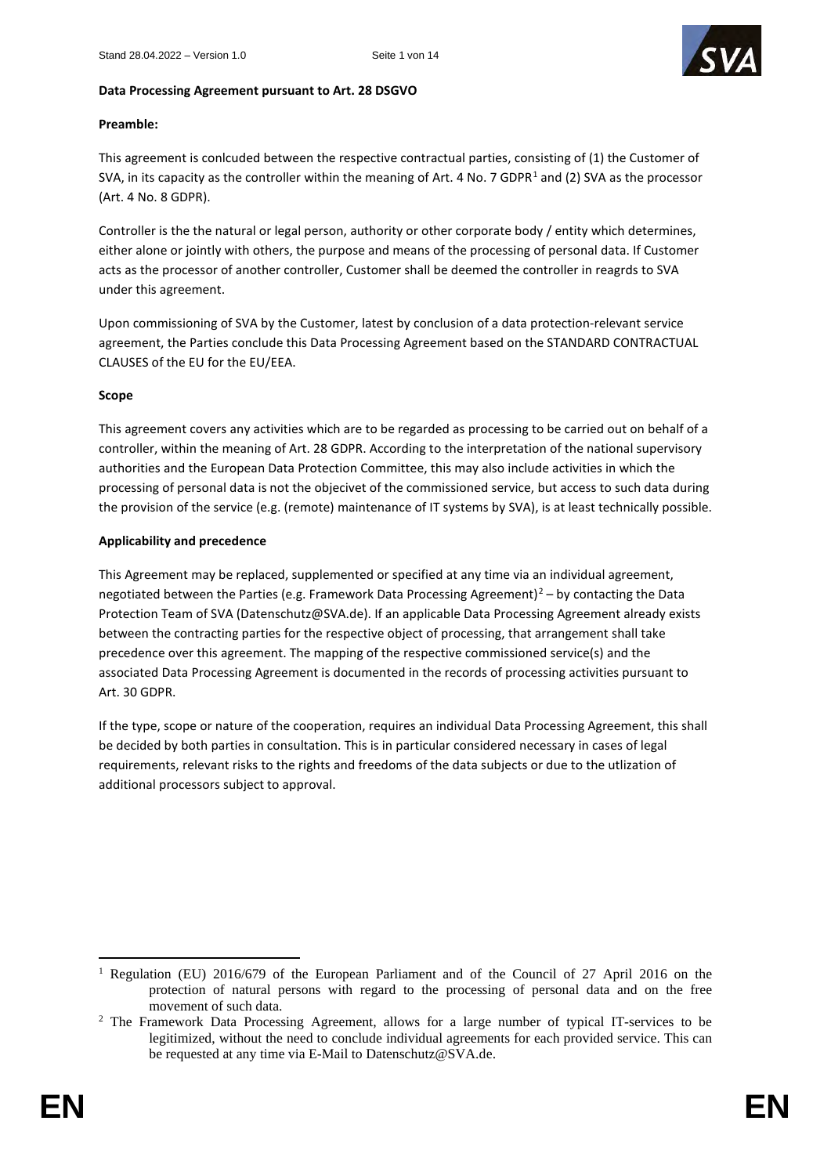

## **Data Processing Agreement pursuant to Art. 28 DSGVO**

## **Preamble:**

This agreement is conlcuded between the respective contractual parties, consisting of (1) the Customer of SVA, in its capacity as the controller within the meaning of Art. 4 No. 7 GDPR<sup>[1](#page-0-0)</sup> and (2) SVA as the processor (Art. 4 No. 8 GDPR).

Controller is the the natural or legal person, authority or other corporate body / entity which determines, either alone or jointly with others, the purpose and means of the processing of personal data. If Customer acts as the processor of another controller, Customer shall be deemed the controller in reagrds to SVA under this agreement.

Upon commissioning of SVA by the Customer, latest by conclusion of a data protection-relevant service agreement, the Parties conclude this Data Processing Agreement based on the STANDARD CONTRACTUAL CLAUSES of the EU for the EU/EEA.

## **Scope**

This agreement covers any activities which are to be regarded as processing to be carried out on behalf of a controller, within the meaning of Art. 28 GDPR. According to the interpretation of the national supervisory authorities and the European Data Protection Committee, this may also include activities in which the processing of personal data is not the objecivet of the commissioned service, but access to such data during the provision of the service (e.g. (remote) maintenance of IT systems by SVA), is at least technically possible.

# **Applicability and precedence**

This Agreement may be replaced, supplemented or specified at any time via an individual agreement, negotiated between the Parties (e.g. Framework Data Processing Agreement)<sup>[2](#page-0-1)</sup> – by contacting the Data Protection Team of SVA (Datenschutz@SVA.de). If an applicable Data Processing Agreement already exists between the contracting parties for the respective object of processing, that arrangement shall take precedence over this agreement. The mapping of the respective commissioned service(s) and the associated Data Processing Agreement is documented in the records of processing activities pursuant to Art. 30 GDPR.

If the type, scope or nature of the cooperation, requires an individual Data Processing Agreement, this shall be decided by both parties in consultation. This is in particular considered necessary in cases of legal requirements, relevant risks to the rights and freedoms of the data subjects or due to the utlization of additional processors subject to approval.

<span id="page-0-0"></span><sup>1</sup> Regulation (EU) 2016/679 of the European Parliament and of the Council of 27 April 2016 on the protection of natural persons with regard to the processing of personal data and on the free movement of such data.<br><sup>2</sup> The Framework Data Processing Agreement, allows for a large number of typical IT-services to be

<span id="page-0-1"></span>legitimized, without the need to conclude individual agreements for each provided service. This can be requested at any time via E-Mail to Datenschutz@SVA.de.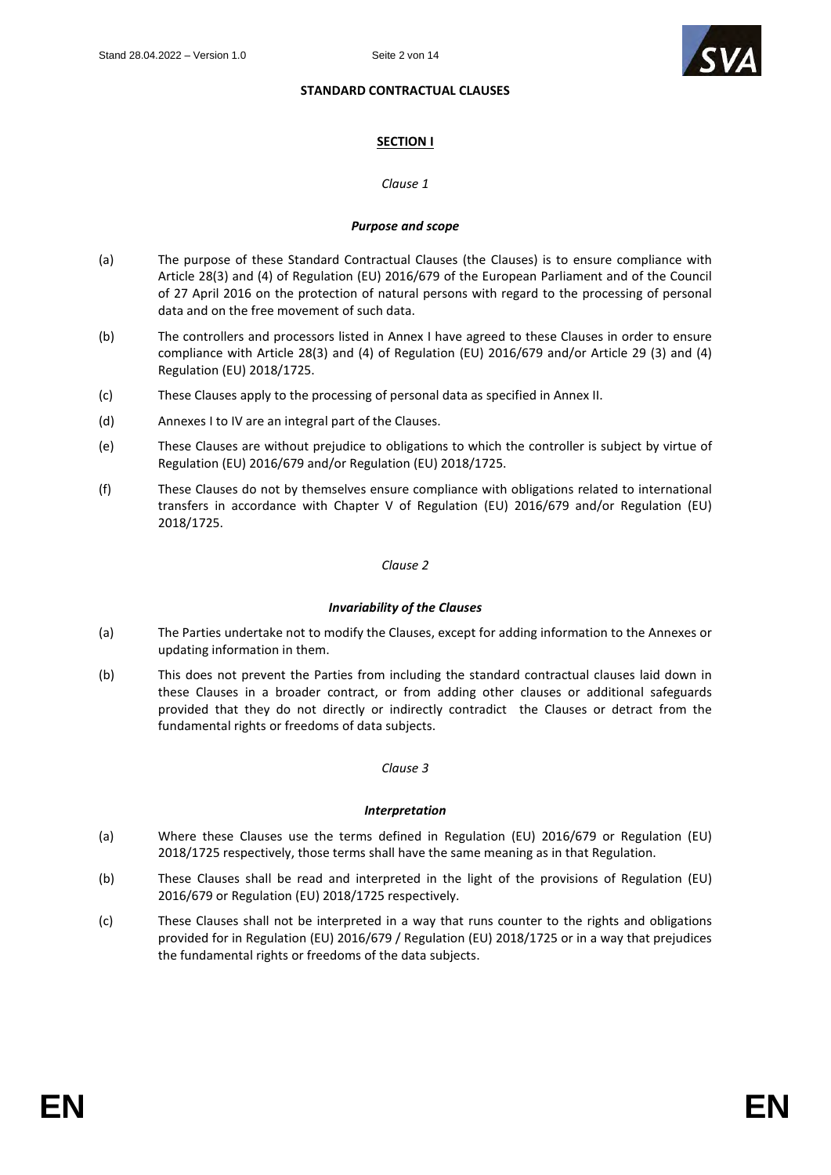

#### **STANDARD CONTRACTUAL CLAUSES**

## **SECTION I**

## *Clause 1*

## *Purpose and scope*

- (a) The purpose of these Standard Contractual Clauses (the Clauses) is to ensure compliance with Article 28(3) and (4) of Regulation (EU) 2016/679 of the European Parliament and of the Council of 27 April 2016 on the protection of natural persons with regard to the processing of personal data and on the free movement of such data.
- (b) The controllers and processors listed in Annex I have agreed to these Clauses in order to ensure compliance with Article 28(3) and (4) of Regulation (EU) 2016/679 and/or Article 29 (3) and (4) Regulation (EU) 2018/1725.
- (c) These Clauses apply to the processing of personal data as specified in Annex II.
- (d) Annexes I to IV are an integral part of the Clauses.
- (e) These Clauses are without prejudice to obligations to which the controller is subject by virtue of Regulation (EU) 2016/679 and/or Regulation (EU) 2018/1725.
- (f) These Clauses do not by themselves ensure compliance with obligations related to international transfers in accordance with Chapter V of Regulation (EU) 2016/679 and/or Regulation (EU) 2018/1725.

### *Clause 2*

## *Invariability of the Clauses*

- (a) The Parties undertake not to modify the Clauses, except for adding information to the Annexes or updating information in them.
- (b) This does not prevent the Parties from including the standard contractual clauses laid down in these Clauses in a broader contract, or from adding other clauses or additional safeguards provided that they do not directly or indirectly contradict the Clauses or detract from the fundamental rights or freedoms of data subjects.

## *Clause 3*

#### *Interpretation*

- (a) Where these Clauses use the terms defined in Regulation (EU) 2016/679 or Regulation (EU) 2018/1725 respectively, those terms shall have the same meaning as in that Regulation.
- (b) These Clauses shall be read and interpreted in the light of the provisions of Regulation (EU) 2016/679 or Regulation (EU) 2018/1725 respectively.
- (c) These Clauses shall not be interpreted in a way that runs counter to the rights and obligations provided for in Regulation (EU) 2016/679 / Regulation (EU) 2018/1725 or in a way that prejudices the fundamental rights or freedoms of the data subjects.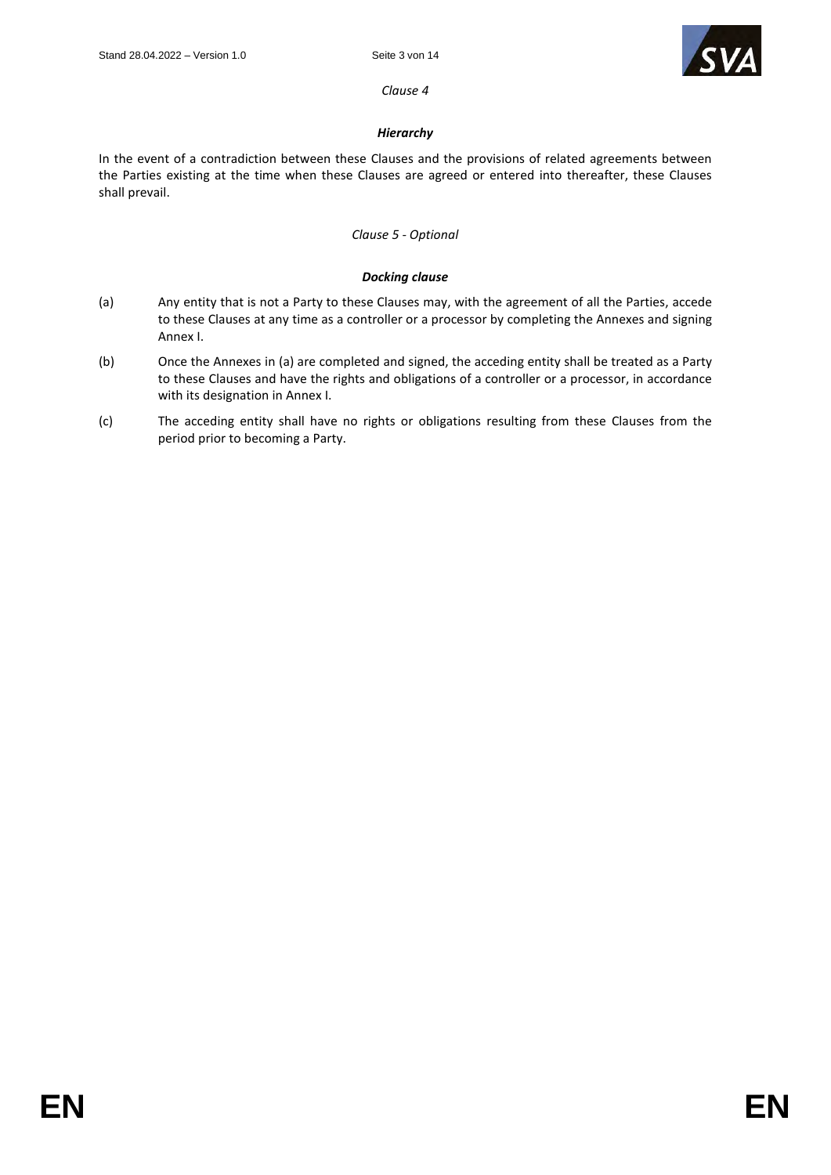

*Clause 4*

# *Hierarchy*

In the event of a contradiction between these Clauses and the provisions of related agreements between the Parties existing at the time when these Clauses are agreed or entered into thereafter, these Clauses shall prevail.

# *Clause 5 - Optional*

# *Docking clause*

- (a) Any entity that is not a Party to these Clauses may, with the agreement of all the Parties, accede to these Clauses at any time as a controller or a processor by completing the Annexes and signing Annex I.
- (b) Once the Annexes in (a) are completed and signed, the acceding entity shall be treated as a Party to these Clauses and have the rights and obligations of a controller or a processor, in accordance with its designation in Annex I.
- (c) The acceding entity shall have no rights or obligations resulting from these Clauses from the period prior to becoming a Party.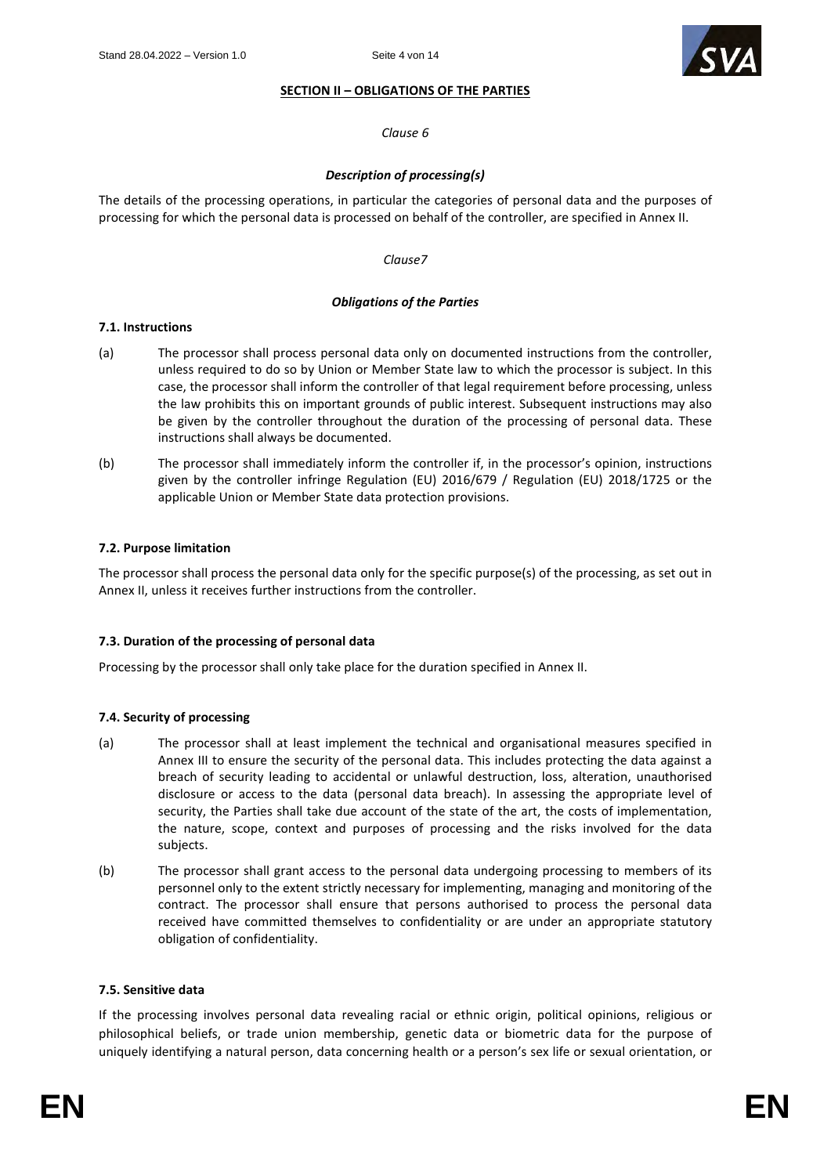

### **SECTION II – OBLIGATIONS OF THE PARTIES**

## *Clause 6*

## *Description of processing(s)*

The details of the processing operations, in particular the categories of personal data and the purposes of processing for which the personal data is processed on behalf of the controller, are specified in Annex II.

*Clause7* 

## *Obligations of the Parties*

## **7.1. Instructions**

- (a) The processor shall process personal data only on documented instructions from the controller, unless required to do so by Union or Member State law to which the processor is subject. In this case, the processor shall inform the controller of that legal requirement before processing, unless the law prohibits this on important grounds of public interest. Subsequent instructions may also be given by the controller throughout the duration of the processing of personal data. These instructions shall always be documented.
- (b) The processor shall immediately inform the controller if, in the processor's opinion, instructions given by the controller infringe Regulation (EU) 2016/679 / Regulation (EU) 2018/1725 or the applicable Union or Member State data protection provisions.

### **7.2. Purpose limitation**

The processor shall process the personal data only for the specific purpose(s) of the processing, as set out in Annex II, unless it receives further instructions from the controller.

## **7.3. Duration of the processing of personal data**

Processing by the processor shall only take place for the duration specified in Annex II.

## **7.4. Security of processing**

- (a) The processor shall at least implement the technical and organisational measures specified in Annex III to ensure the security of the personal data. This includes protecting the data against a breach of security leading to accidental or unlawful destruction, loss, alteration, unauthorised disclosure or access to the data (personal data breach). In assessing the appropriate level of security, the Parties shall take due account of the state of the art, the costs of implementation, the nature, scope, context and purposes of processing and the risks involved for the data subjects.
- (b) The processor shall grant access to the personal data undergoing processing to members of its personnel only to the extent strictly necessary for implementing, managing and monitoring of the contract. The processor shall ensure that persons authorised to process the personal data received have committed themselves to confidentiality or are under an appropriate statutory obligation of confidentiality.

#### **7.5. Sensitive data**

If the processing involves personal data revealing racial or ethnic origin, political opinions, religious or philosophical beliefs, or trade union membership, genetic data or biometric data for the purpose of uniquely identifying a natural person, data concerning health or a person's sex life or sexual orientation, or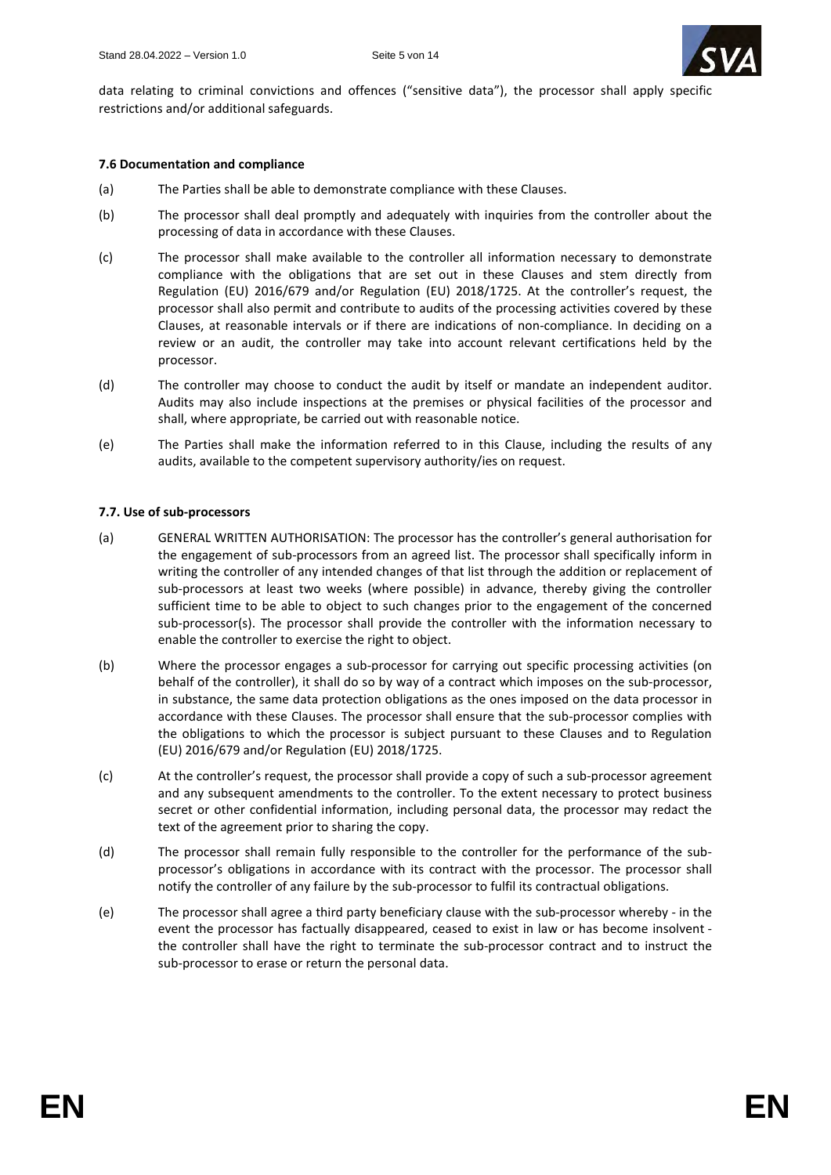

data relating to criminal convictions and offences ("sensitive data"), the processor shall apply specific restrictions and/or additional safeguards.

#### **7.6 Documentation and compliance**

- (a) The Parties shall be able to demonstrate compliance with these Clauses.
- (b) The processor shall deal promptly and adequately with inquiries from the controller about the processing of data in accordance with these Clauses.
- (c) The processor shall make available to the controller all information necessary to demonstrate compliance with the obligations that are set out in these Clauses and stem directly from Regulation (EU) 2016/679 and/or Regulation (EU) 2018/1725. At the controller's request, the processor shall also permit and contribute to audits of the processing activities covered by these Clauses, at reasonable intervals or if there are indications of non-compliance. In deciding on a review or an audit, the controller may take into account relevant certifications held by the processor.
- (d) The controller may choose to conduct the audit by itself or mandate an independent auditor. Audits may also include inspections at the premises or physical facilities of the processor and shall, where appropriate, be carried out with reasonable notice.
- (e) The Parties shall make the information referred to in this Clause, including the results of any audits, available to the competent supervisory authority/ies on request.

### **7.7. Use of sub-processors**

- (a) GENERAL WRITTEN AUTHORISATION: The processor has the controller's general authorisation for the engagement of sub-processors from an agreed list. The processor shall specifically inform in writing the controller of any intended changes of that list through the addition or replacement of sub-processors at least two weeks (where possible) in advance, thereby giving the controller sufficient time to be able to object to such changes prior to the engagement of the concerned sub-processor(s). The processor shall provide the controller with the information necessary to enable the controller to exercise the right to object.
- (b) Where the processor engages a sub-processor for carrying out specific processing activities (on behalf of the controller), it shall do so by way of a contract which imposes on the sub-processor, in substance, the same data protection obligations as the ones imposed on the data processor in accordance with these Clauses. The processor shall ensure that the sub-processor complies with the obligations to which the processor is subject pursuant to these Clauses and to Regulation (EU) 2016/679 and/or Regulation (EU) 2018/1725.
- (c) At the controller's request, the processor shall provide a copy of such a sub-processor agreement and any subsequent amendments to the controller. To the extent necessary to protect business secret or other confidential information, including personal data, the processor may redact the text of the agreement prior to sharing the copy.
- (d) The processor shall remain fully responsible to the controller for the performance of the subprocessor's obligations in accordance with its contract with the processor. The processor shall notify the controller of any failure by the sub-processor to fulfil its contractual obligations.
- (e) The processor shall agree a third party beneficiary clause with the sub-processor whereby in the event the processor has factually disappeared, ceased to exist in law or has become insolvent the controller shall have the right to terminate the sub-processor contract and to instruct the sub-processor to erase or return the personal data.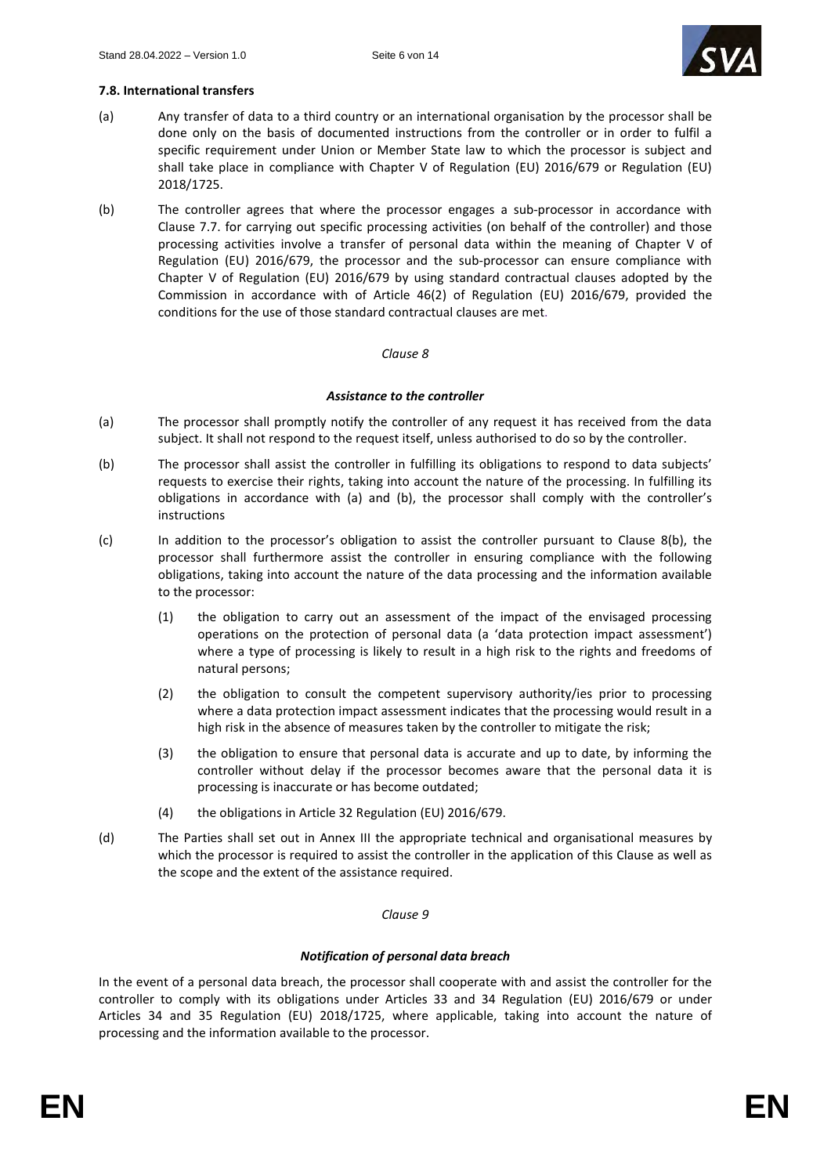

## **7.8. International transfers**

- (a) Any transfer of data to a third country or an international organisation by the processor shall be done only on the basis of documented instructions from the controller or in order to fulfil a specific requirement under Union or Member State law to which the processor is subject and shall take place in compliance with Chapter V of Regulation (EU) 2016/679 or Regulation (EU) 2018/1725.
- (b) The controller agrees that where the processor engages a sub-processor in accordance with Clause 7.7. for carrying out specific processing activities (on behalf of the controller) and those processing activities involve a transfer of personal data within the meaning of Chapter V of Regulation (EU) 2016/679, the processor and the sub-processor can ensure compliance with Chapter V of Regulation (EU) 2016/679 by using standard contractual clauses adopted by the Commission in accordance with of Article 46(2) of Regulation (EU) 2016/679, provided the conditions for the use of those standard contractual clauses are met.

### *Clause 8*

### *Assistance to the controller*

- (a) The processor shall promptly notify the controller of any request it has received from the data subject. It shall not respond to the request itself, unless authorised to do so by the controller.
- (b) The processor shall assist the controller in fulfilling its obligations to respond to data subjects' requests to exercise their rights, taking into account the nature of the processing. In fulfilling its obligations in accordance with (a) and (b), the processor shall comply with the controller's instructions
- (c) In addition to the processor's obligation to assist the controller pursuant to Clause 8(b), the processor shall furthermore assist the controller in ensuring compliance with the following obligations, taking into account the nature of the data processing and the information available to the processor:
	- (1) the obligation to carry out an assessment of the impact of the envisaged processing operations on the protection of personal data (a 'data protection impact assessment') where a type of processing is likely to result in a high risk to the rights and freedoms of natural persons;
	- (2) the obligation to consult the competent supervisory authority/ies prior to processing where a data protection impact assessment indicates that the processing would result in a high risk in the absence of measures taken by the controller to mitigate the risk;
	- (3) the obligation to ensure that personal data is accurate and up to date, by informing the controller without delay if the processor becomes aware that the personal data it is processing is inaccurate or has become outdated;
	- (4) the obligations in Article 32 Regulation (EU) 2016/679.
- (d) The Parties shall set out in Annex III the appropriate technical and organisational measures by which the processor is required to assist the controller in the application of this Clause as well as the scope and the extent of the assistance required.

#### *Clause 9*

# *Notification of personal data breach*

In the event of a personal data breach, the processor shall cooperate with and assist the controller for the controller to comply with its obligations under Articles 33 and 34 Regulation (EU) 2016/679 or under Articles 34 and 35 Regulation (EU) 2018/1725, where applicable, taking into account the nature of processing and the information available to the processor.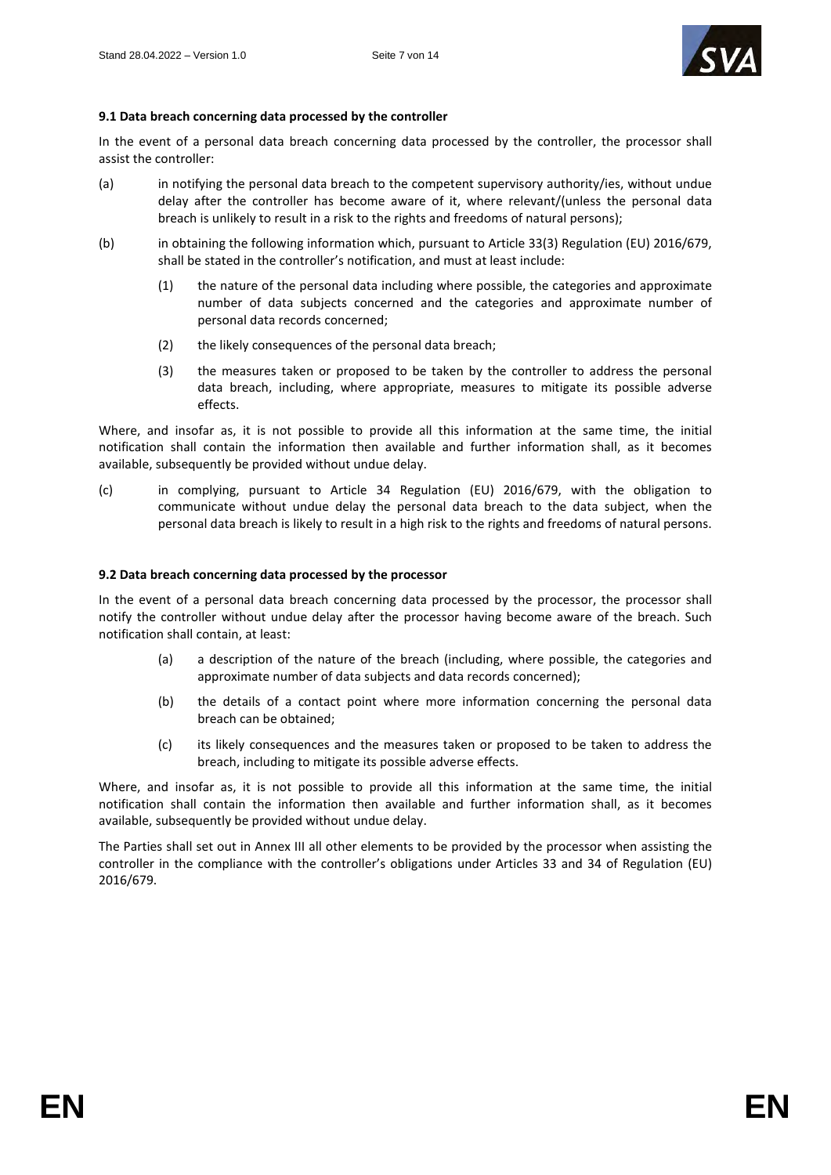

## **9.1 Data breach concerning data processed by the controller**

In the event of a personal data breach concerning data processed by the controller, the processor shall assist the controller:

- (a) in notifying the personal data breach to the competent supervisory authority/ies, without undue delay after the controller has become aware of it, where relevant/(unless the personal data breach is unlikely to result in a risk to the rights and freedoms of natural persons);
- (b) in obtaining the following information which, pursuant to Article 33(3) Regulation (EU) 2016/679, shall be stated in the controller's notification, and must at least include:
	- (1) the nature of the personal data including where possible, the categories and approximate number of data subjects concerned and the categories and approximate number of personal data records concerned;
	- (2) the likely consequences of the personal data breach;
	- (3) the measures taken or proposed to be taken by the controller to address the personal data breach, including, where appropriate, measures to mitigate its possible adverse effects.

Where, and insofar as, it is not possible to provide all this information at the same time, the initial notification shall contain the information then available and further information shall, as it becomes available, subsequently be provided without undue delay.

(c) in complying, pursuant to Article 34 Regulation (EU) 2016/679, with the obligation to communicate without undue delay the personal data breach to the data subject, when the personal data breach is likely to result in a high risk to the rights and freedoms of natural persons.

#### **9.2 Data breach concerning data processed by the processor**

In the event of a personal data breach concerning data processed by the processor, the processor shall notify the controller without undue delay after the processor having become aware of the breach. Such notification shall contain, at least:

- (a) a description of the nature of the breach (including, where possible, the categories and approximate number of data subjects and data records concerned);
- (b) the details of a contact point where more information concerning the personal data breach can be obtained;
- (c) its likely consequences and the measures taken or proposed to be taken to address the breach, including to mitigate its possible adverse effects.

Where, and insofar as, it is not possible to provide all this information at the same time, the initial notification shall contain the information then available and further information shall, as it becomes available, subsequently be provided without undue delay.

The Parties shall set out in Annex III all other elements to be provided by the processor when assisting the controller in the compliance with the controller's obligations under Articles 33 and 34 of Regulation (EU) 2016/679.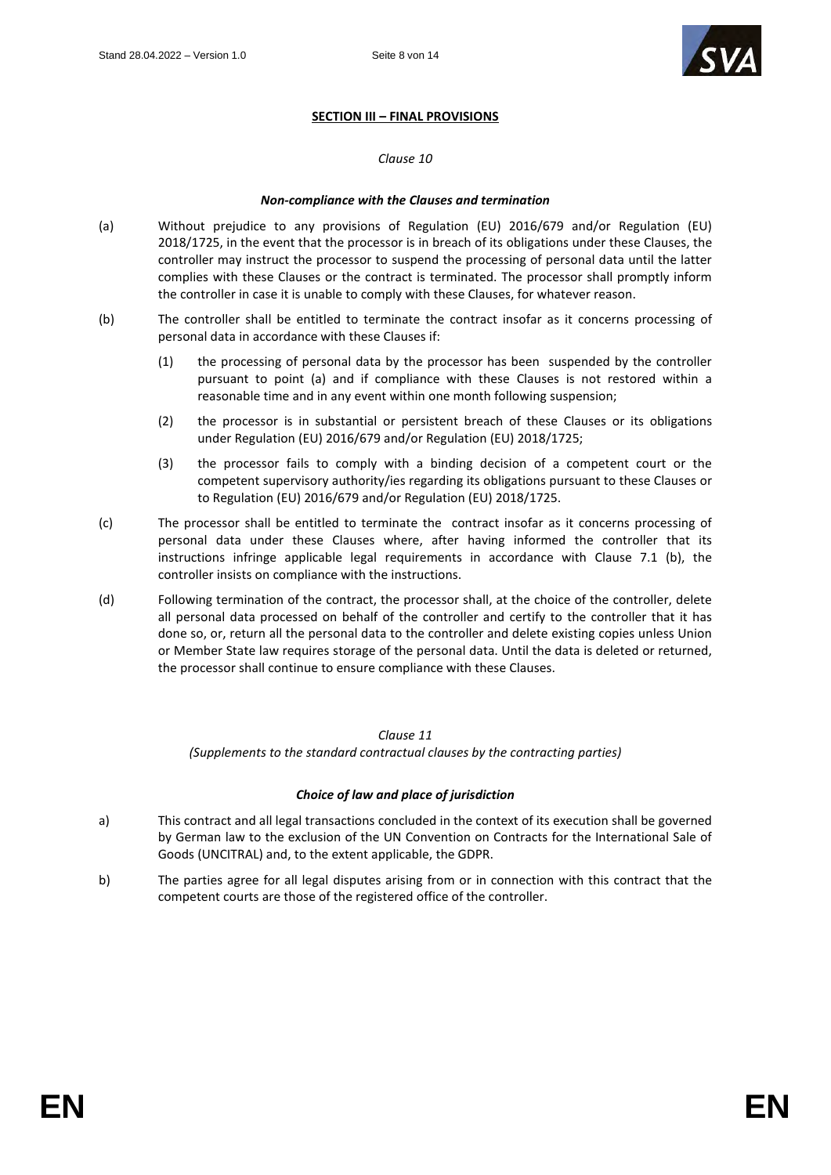

## **SECTION III – FINAL PROVISIONS**

## *Clause 10*

#### *Non-compliance with the Clauses and termination*

- (a) Without prejudice to any provisions of Regulation (EU) 2016/679 and/or Regulation (EU) 2018/1725, in the event that the processor is in breach of its obligations under these Clauses, the controller may instruct the processor to suspend the processing of personal data until the latter complies with these Clauses or the contract is terminated. The processor shall promptly inform the controller in case it is unable to comply with these Clauses, for whatever reason.
- (b) The controller shall be entitled to terminate the contract insofar as it concerns processing of personal data in accordance with these Clauses if:
	- (1) the processing of personal data by the processor has been suspended by the controller pursuant to point (a) and if compliance with these Clauses is not restored within a reasonable time and in any event within one month following suspension;
	- (2) the processor is in substantial or persistent breach of these Clauses or its obligations under Regulation (EU) 2016/679 and/or Regulation (EU) 2018/1725;
	- (3) the processor fails to comply with a binding decision of a competent court or the competent supervisory authority/ies regarding its obligations pursuant to these Clauses or to Regulation (EU) 2016/679 and/or Regulation (EU) 2018/1725.
- (c) The processor shall be entitled to terminate the contract insofar as it concerns processing of personal data under these Clauses where, after having informed the controller that its instructions infringe applicable legal requirements in accordance with Clause 7.1 (b), the controller insists on compliance with the instructions.
- (d) Following termination of the contract, the processor shall, at the choice of the controller, delete all personal data processed on behalf of the controller and certify to the controller that it has done so, or, return all the personal data to the controller and delete existing copies unless Union or Member State law requires storage of the personal data. Until the data is deleted or returned, the processor shall continue to ensure compliance with these Clauses.

#### *Clause 11*

*(Supplements to the standard contractual clauses by the contracting parties)*

## *Choice of law and place of jurisdiction*

- a) This contract and all legal transactions concluded in the context of its execution shall be governed by German law to the exclusion of the UN Convention on Contracts for the International Sale of Goods (UNCITRAL) and, to the extent applicable, the GDPR.
- b) The parties agree for all legal disputes arising from or in connection with this contract that the competent courts are those of the registered office of the controller.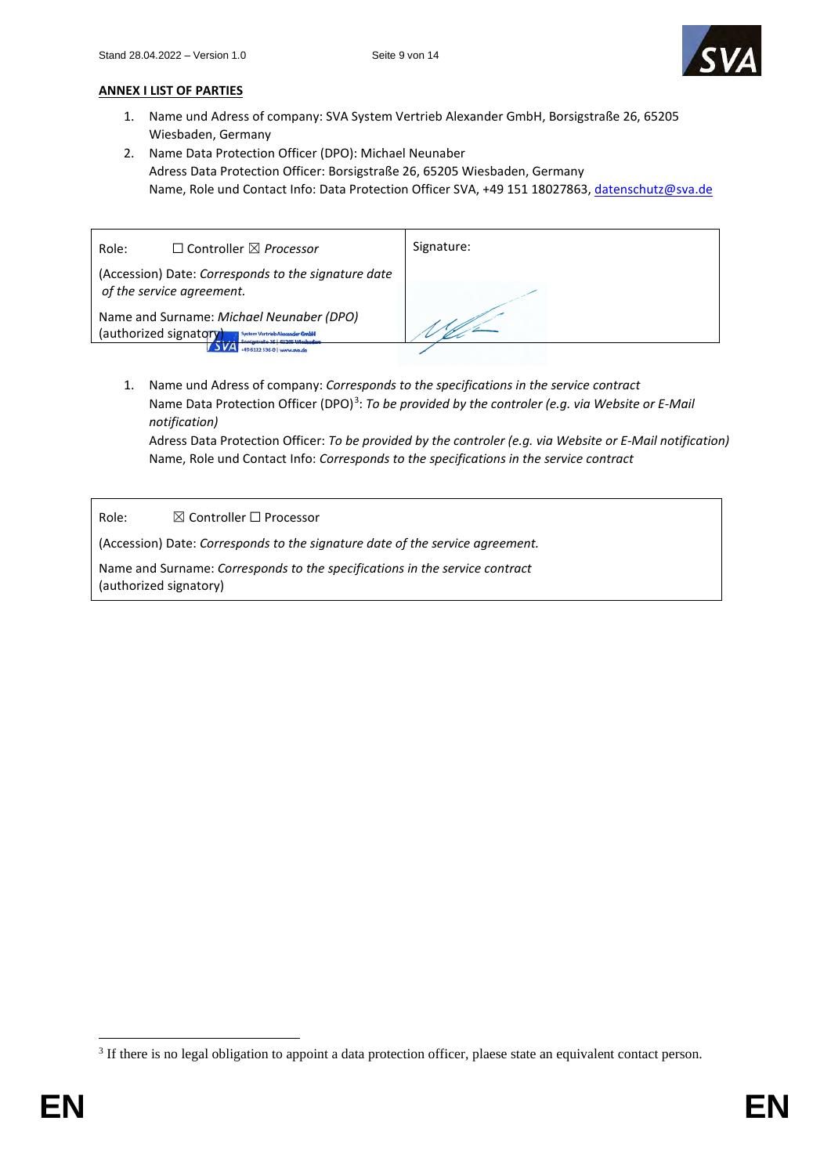

## **ANNEX I LIST OF PARTIES**

- 1. Name und Adress of company: SVA System Vertrieb Alexander GmbH, Borsigstraße 26, 65205 Wiesbaden, Germany
- 2. Name Data Protection Officer (DPO): Michael Neunaber Adress Data Protection Officer: Borsigstraße 26, 65205 Wiesbaden, Germany Name, Role und Contact Info: Data Protection Officer SVA, +49 151 18027863, [datenschutz@sva.de](mailto:datenschutz@sva.de)

| Role:                                                                                                | $\Box$ Controller $\boxtimes$ Processor | Signature: |
|------------------------------------------------------------------------------------------------------|-----------------------------------------|------------|
| (Accession) Date: Corresponds to the signature date<br>of the service agreement.                     |                                         |            |
| Name and Surname: Michael Neunaber (DPO)<br>(authorized signatory)<br>System Vertrieb Alexander GmbH |                                         |            |
|                                                                                                      |                                         |            |

1. Name und Adress of company: *Corresponds to the specifications in the service contract* Name Data Protection Officer (DPO)<sup>[3](#page-8-0)</sup>: *To be provided by the controler (e.g. via Website or E-Mail notification)*

Adress Data Protection Officer: *To be provided by the controler (e.g. via Website or E-Mail notification)* Name, Role und Contact Info: *Corresponds to the specifications in the service contract*

Role: **⊠ Controller □ Processor** 

(Accession) Date: *Corresponds to the signature date of the service agreement.*

Name and Surname: *Corresponds to the specifications in the service contract* (authorized signatory)

<span id="page-8-0"></span><sup>&</sup>lt;sup>3</sup> If there is no legal obligation to appoint a data protection officer, plaese state an equivalent contact person.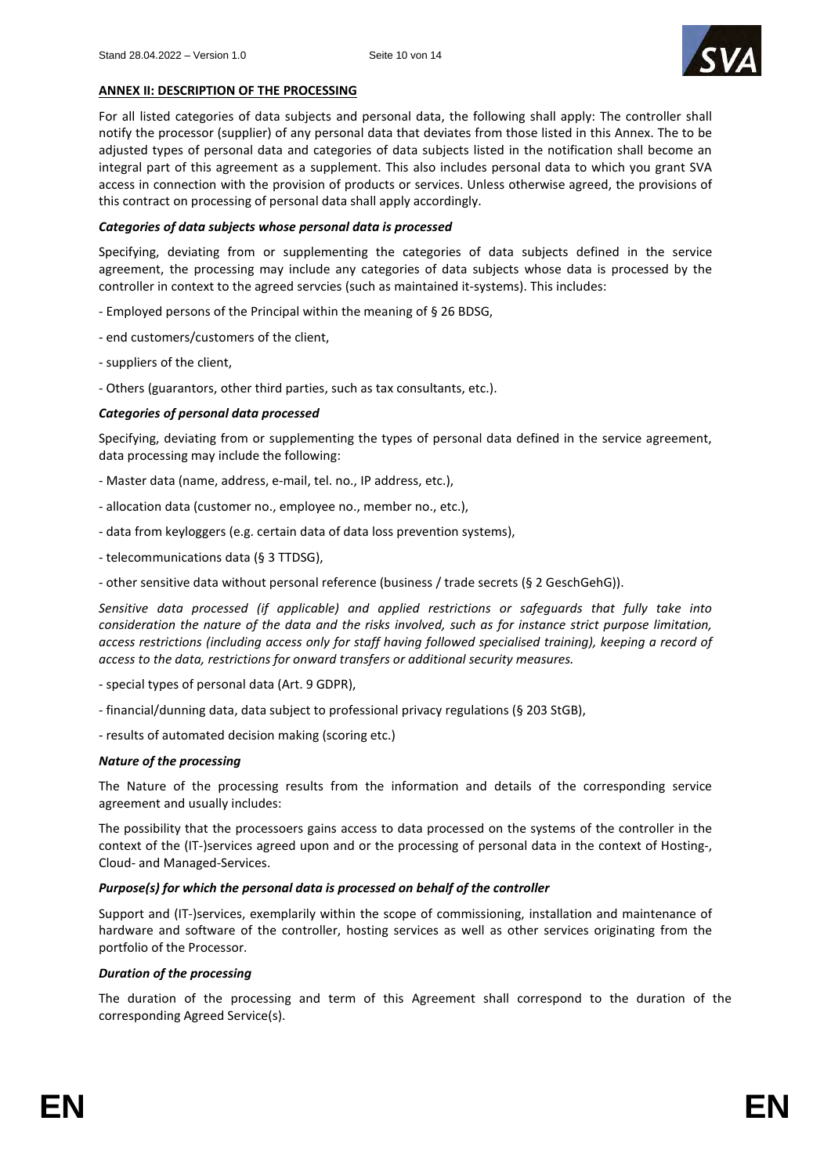

## **ANNEX II: DESCRIPTION OF THE PROCESSING**

For all listed categories of data subjects and personal data, the following shall apply: The controller shall notify the processor (supplier) of any personal data that deviates from those listed in this Annex. The to be adjusted types of personal data and categories of data subjects listed in the notification shall become an integral part of this agreement as a supplement. This also includes personal data to which you grant SVA access in connection with the provision of products or services. Unless otherwise agreed, the provisions of this contract on processing of personal data shall apply accordingly.

### *Categories of data subjects whose personal data is processed*

Specifying, deviating from or supplementing the categories of data subjects defined in the service agreement, the processing may include any categories of data subjects whose data is processed by the controller in context to the agreed servcies (such as maintained it-systems). This includes:

- Employed persons of the Principal within the meaning of § 26 BDSG,
- end customers/customers of the client,
- suppliers of the client,
- Others (guarantors, other third parties, such as tax consultants, etc.).

### *Categories of personal data processed*

Specifying, deviating from or supplementing the types of personal data defined in the service agreement, data processing may include the following:

- Master data (name, address, e-mail, tel. no., IP address, etc.),
- allocation data (customer no., employee no., member no., etc.),
- data from keyloggers (e.g. certain data of data loss prevention systems),
- telecommunications data (§ 3 TTDSG),
- other sensitive data without personal reference (business / trade secrets (§ 2 GeschGehG)).

*Sensitive data processed (if applicable) and applied restrictions or safeguards that fully take into consideration the nature of the data and the risks involved, such as for instance strict purpose limitation,*  access restrictions (including access only for staff having followed specialised training), keeping a record of *access to the data, restrictions for onward transfers or additional security measures.*

- special types of personal data (Art. 9 GDPR),
- financial/dunning data, data subject to professional privacy regulations (§ 203 StGB),
- results of automated decision making (scoring etc.)

#### *Nature of the processing*

The Nature of the processing results from the information and details of the corresponding service agreement and usually includes:

The possibility that the processoers gains access to data processed on the systems of the controller in the context of the (IT-)services agreed upon and or the processing of personal data in the context of Hosting-, Cloud- and Managed-Services.

#### *Purpose(s) for which the personal data is processed on behalf of the controller*

Support and (IT-)services, exemplarily within the scope of commissioning, installation and maintenance of hardware and software of the controller, hosting services as well as other services originating from the portfolio of the Processor.

#### *Duration of the processing*

The duration of the processing and term of this Agreement shall correspond to the duration of the corresponding Agreed Service(s).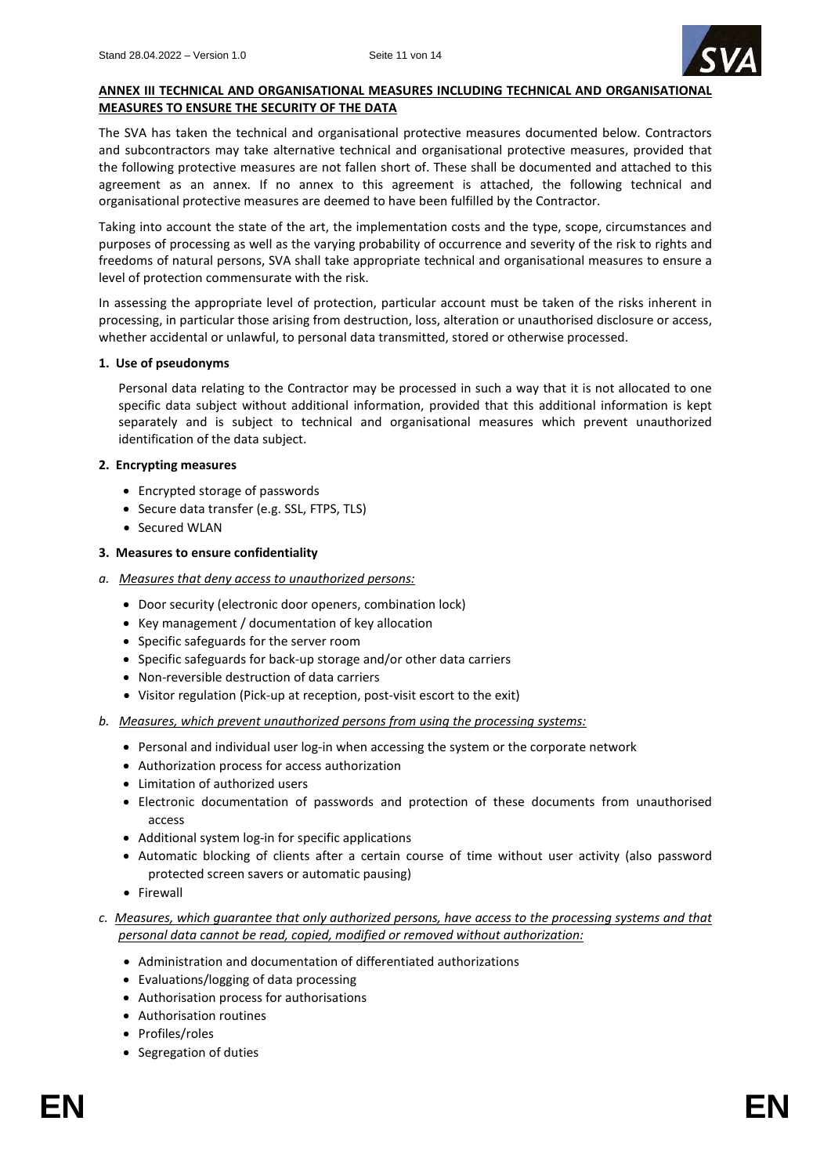

## **ANNEX III TECHNICAL AND ORGANISATIONAL MEASURES INCLUDING TECHNICAL AND ORGANISATIONAL MEASURES TO ENSURE THE SECURITY OF THE DATA**

The SVA has taken the technical and organisational protective measures documented below. Contractors and subcontractors may take alternative technical and organisational protective measures, provided that the following protective measures are not fallen short of. These shall be documented and attached to this agreement as an annex. If no annex to this agreement is attached, the following technical and organisational protective measures are deemed to have been fulfilled by the Contractor.

Taking into account the state of the art, the implementation costs and the type, scope, circumstances and purposes of processing as well as the varying probability of occurrence and severity of the risk to rights and freedoms of natural persons, SVA shall take appropriate technical and organisational measures to ensure a level of protection commensurate with the risk.

In assessing the appropriate level of protection, particular account must be taken of the risks inherent in processing, in particular those arising from destruction, loss, alteration or unauthorised disclosure or access, whether accidental or unlawful, to personal data transmitted, stored or otherwise processed.

## **1. Use of pseudonyms**

Personal data relating to the Contractor may be processed in such a way that it is not allocated to one specific data subject without additional information, provided that this additional information is kept separately and is subject to technical and organisational measures which prevent unauthorized identification of the data subject.

### **2. Encrypting measures**

- Encrypted storage of passwords
- Secure data transfer (e.g. SSL, FTPS, TLS)
- Secured WLAN

## **3. Measures to ensure confidentiality**

- *a. Measures that deny access to unauthorized persons:*
	- Door security (electronic door openers, combination lock)
	- Key management / documentation of key allocation
	- Specific safeguards for the server room
	- Specific safeguards for back-up storage and/or other data carriers
	- Non-reversible destruction of data carriers
	- Visitor regulation (Pick-up at reception, post-visit escort to the exit)
- *b. Measures, which prevent unauthorized persons from using the processing systems:*
	- Personal and individual user log-in when accessing the system or the corporate network
	- Authorization process for access authorization
	- Limitation of authorized users
	- Electronic documentation of passwords and protection of these documents from unauthorised access
	- Additional system log-in for specific applications
	- Automatic blocking of clients after a certain course of time without user activity (also password protected screen savers or automatic pausing)
	- Firewall
- *c. Measures, which guarantee that only authorized persons, have access to the processing systems and that personal data cannot be read, copied, modified or removed without authorization:*
	- Administration and documentation of differentiated authorizations
	- Evaluations/logging of data processing
	- Authorisation process for authorisations
	- Authorisation routines
	- Profiles/roles
	- Segregation of duties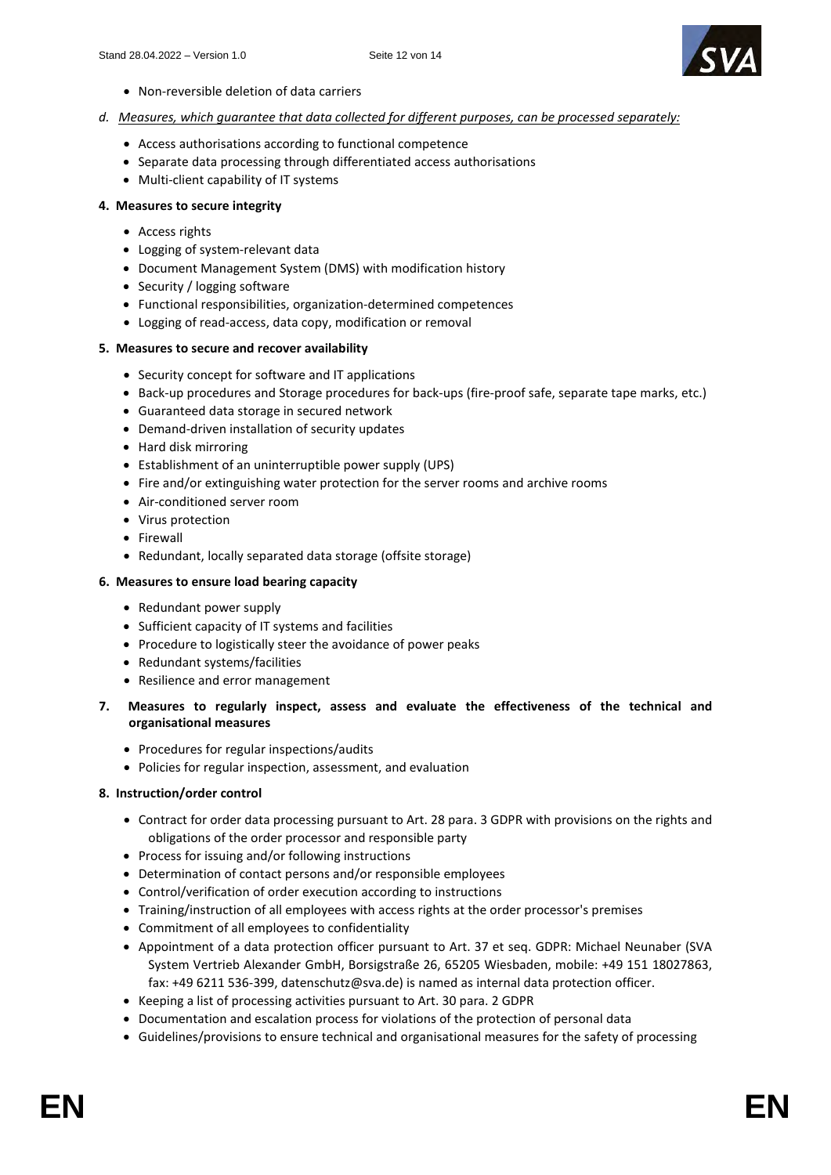

- Non-reversible deletion of data carriers
- *d. Measures, which guarantee that data collected for different purposes, can be processed separately:*
	- Access authorisations according to functional competence
	- Separate data processing through differentiated access authorisations
	- Multi-client capability of IT systems

### **4. Measures to secure integrity**

- Access rights
- Logging of system-relevant data
- Document Management System (DMS) with modification history
- Security / logging software
- Functional responsibilities, organization-determined competences
- Logging of read-access, data copy, modification or removal

### **5. Measures to secure and recover availability**

- Security concept for software and IT applications
- Back-up procedures and Storage procedures for back-ups (fire-proof safe, separate tape marks, etc.)
- Guaranteed data storage in secured network
- Demand-driven installation of security updates
- Hard disk mirroring
- Establishment of an uninterruptible power supply (UPS)
- Fire and/or extinguishing water protection for the server rooms and archive rooms
- Air-conditioned server room
- Virus protection
- Firewall
- Redundant, locally separated data storage (offsite storage)

### **6. Measures to ensure load bearing capacity**

- Redundant power supply
- Sufficient capacity of IT systems and facilities
- Procedure to logistically steer the avoidance of power peaks
- Redundant systems/facilities
- Resilience and error management
- **7. Measures to regularly inspect, assess and evaluate the effectiveness of the technical and organisational measures**
	- Procedures for regular inspections/audits
	- Policies for regular inspection, assessment, and evaluation

## **8. Instruction/order control**

- Contract for order data processing pursuant to Art. 28 para. 3 GDPR with provisions on the rights and obligations of the order processor and responsible party
- Process for issuing and/or following instructions
- Determination of contact persons and/or responsible employees
- Control/verification of order execution according to instructions
- Training/instruction of all employees with access rights at the order processor's premises
- Commitment of all employees to confidentiality
- Appointment of a data protection officer pursuant to Art. 37 et seq. GDPR: Michael Neunaber (SVA System Vertrieb Alexander GmbH, Borsigstraße 26, 65205 Wiesbaden, mobile: +49 151 18027863, fax: +49 6211 536-399, datenschutz@sva.de) is named as internal data protection officer.
- Keeping a list of processing activities pursuant to Art. 30 para. 2 GDPR
- Documentation and escalation process for violations of the protection of personal data
- Guidelines/provisions to ensure technical and organisational measures for the safety of processing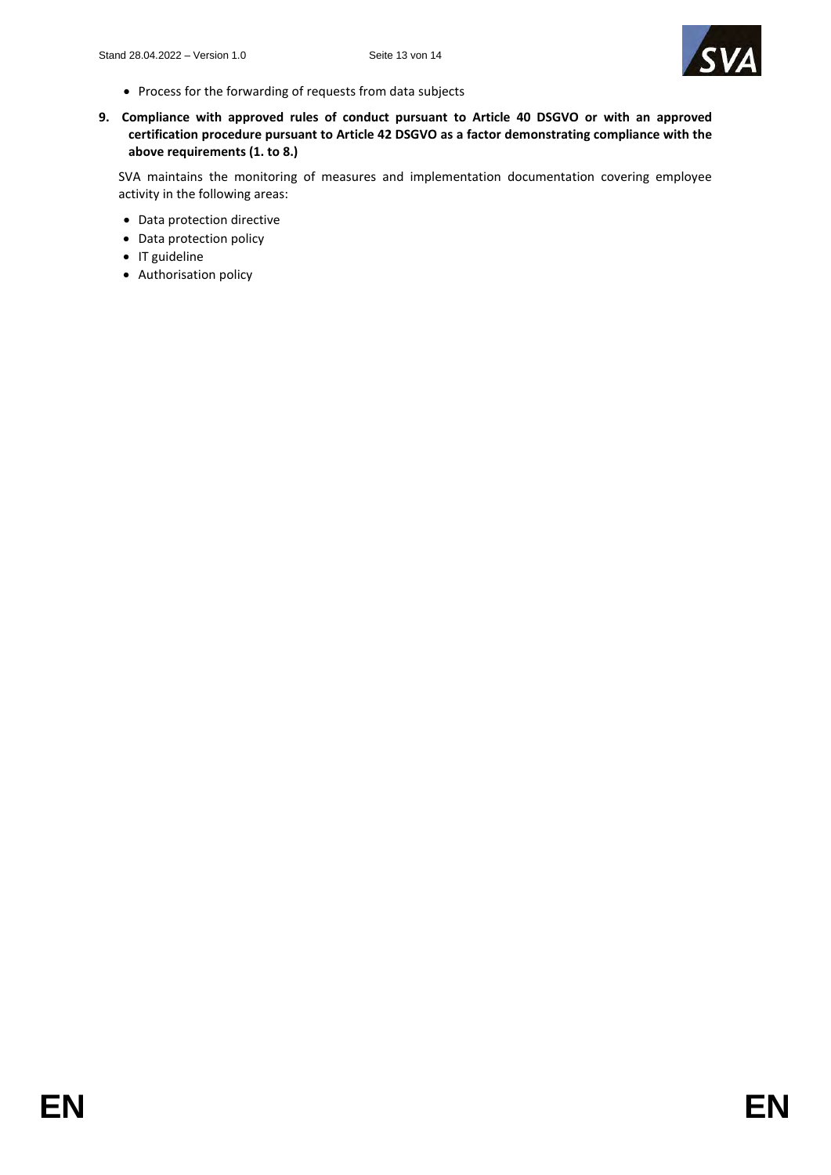

- Process for the forwarding of requests from data subjects
- **9. Compliance with approved rules of conduct pursuant to Article 40 DSGVO or with an approved certification procedure pursuant to Article 42 DSGVO as a factor demonstrating compliance with the above requirements (1. to 8.)**

SVA maintains the monitoring of measures and implementation documentation covering employee activity in the following areas:

- Data protection directive
- Data protection policy
- IT guideline
- Authorisation policy